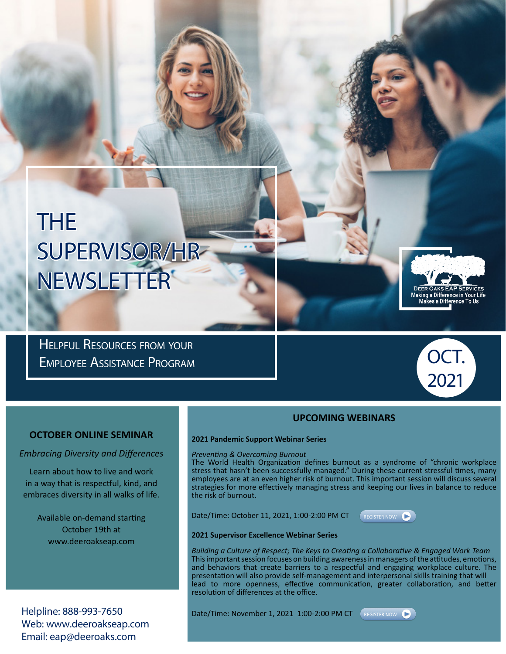# THE SUPERVISOR/HR NEWSLETTER

Helpful Resources from your Employee Assistance Program



2021

#### **UPCOMING WEBINARS**

#### **OCTOBER ONLINE SEMINAR**

*Embracing Diversity and Differences*

Learn about how to live and work in a way that is respectful, kind, and embraces diversity in all walks of life.

Available on-demand starting October 19th at www.deeroakseap.com

Helpline: 888-993-7650 Web: www.deeroakseap.com Email: eap@deeroaks.com

#### **2021 Pandemic Support Webinar Series**  *Preventing & Overcoming Burnout*

The World Health Organization defines burnout as a syndrome of "chronic workplace stress that hasn't been successfully managed." During these current stressful times, many employees are at an even higher risk of burnout. This important session will discuss several strategies for more effectively managing stress and keeping our lives in balance to reduce the risk of burnout.

Date/Time: October 11, 2021, 1:00-2:00 PM CT



#### **2021 Supervisor Excellence Webinar Series**

*Building a Culture of Respect; The Keys to Creating a Collaborative & Engaged Work Team* This important session focuses on building awareness in managers of the attitudes, emotions, and behaviors that create barriers to a respectful and engaging workplace culture. The presentation will also provide self-management and interpersonal skills training that will lead to more openness, effective communication, greater collaboration, and better resolution of differences at the office.

Date/Time: November 1, 2021 1:00-2:00 PM CT (REGISTER NOW

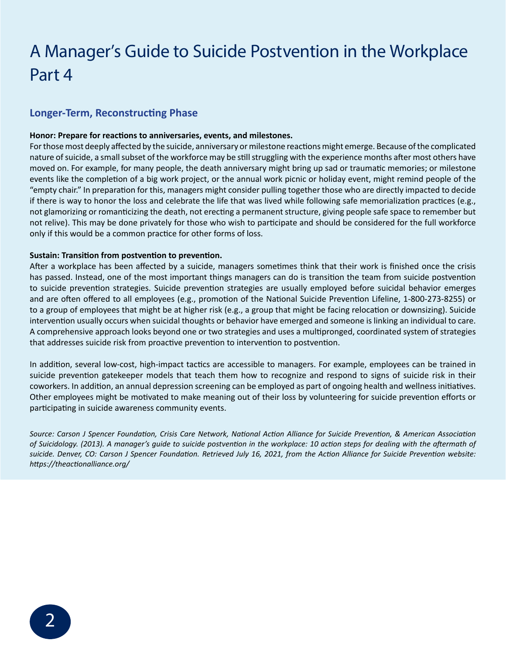### A Manager's Guide to Suicide Postvention in the Workplace Part 4

### **Longer-Term, Reconstructing Phase**

#### **Honor: Prepare for reactions to anniversaries, events, and milestones.**

For those most deeply affected by the suicide, anniversary or milestone reactions might emerge. Because of the complicated nature of suicide, a small subset of the workforce may be still struggling with the experience months after most others have moved on. For example, for many people, the death anniversary might bring up sad or traumatic memories; or milestone events like the completion of a big work project, or the annual work picnic or holiday event, might remind people of the "empty chair." In preparation for this, managers might consider pulling together those who are directly impacted to decide if there is way to honor the loss and celebrate the life that was lived while following safe memorialization practices (e.g., not glamorizing or romanticizing the death, not erecting a permanent structure, giving people safe space to remember but not relive). This may be done privately for those who wish to participate and should be considered for the full workforce only if this would be a common practice for other forms of loss.

#### **Sustain: Transition from postvention to prevention.**

After a workplace has been affected by a suicide, managers sometimes think that their work is finished once the crisis has passed. Instead, one of the most important things managers can do is transition the team from suicide postvention to suicide prevention strategies. Suicide prevention strategies are usually employed before suicidal behavior emerges and are often offered to all employees (e.g., promotion of the National Suicide Prevention Lifeline, 1-800-273-8255) or to a group of employees that might be at higher risk (e.g., a group that might be facing relocation or downsizing). Suicide intervention usually occurs when suicidal thoughts or behavior have emerged and someone is linking an individual to care. A comprehensive approach looks beyond one or two strategies and uses a multipronged, coordinated system of strategies that addresses suicide risk from proactive prevention to intervention to postvention.

In addition, several low-cost, high-impact tactics are accessible to managers. For example, employees can be trained in suicide prevention gatekeeper models that teach them how to recognize and respond to signs of suicide risk in their coworkers. In addition, an annual depression screening can be employed as part of ongoing health and wellness initiatives. Other employees might be motivated to make meaning out of their loss by volunteering for suicide prevention efforts or participating in suicide awareness community events.

*Source: Carson J Spencer Foundation, Crisis Care Network, National Action Alliance for Suicide Prevention, & American Association of Suicidology. (2013). A manager's guide to suicide postvention in the workplace: 10 action steps for dealing with the aftermath of suicide. Denver, CO: Carson J Spencer Foundation. Retrieved July 16, 2021, from the Action Alliance for Suicide Prevention website: https://theactionalliance.org/*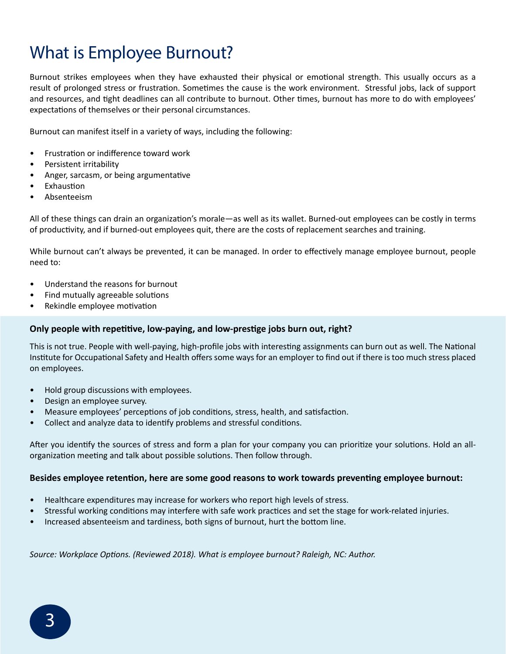### What is Employee Burnout?

Burnout strikes employees when they have exhausted their physical or emotional strength. This usually occurs as a result of prolonged stress or frustration. Sometimes the cause is the work environment. Stressful jobs, lack of support and resources, and tight deadlines can all contribute to burnout. Other times, burnout has more to do with employees' expectations of themselves or their personal circumstances.

Burnout can manifest itself in a variety of ways, including the following:

- Frustration or indifference toward work
- Persistent irritability
- Anger, sarcasm, or being argumentative
- **Exhaustion**
- Absenteeism

All of these things can drain an organization's morale—as well as its wallet. Burned-out employees can be costly in terms of productivity, and if burned-out employees quit, there are the costs of replacement searches and training.

While burnout can't always be prevented, it can be managed. In order to effectively manage employee burnout, people need to:

- Understand the reasons for burnout
- Find mutually agreeable solutions
- Rekindle employee motivation

#### **Only people with repetitive, low-paying, and low-prestige jobs burn out, right?**

This is not true. People with well-paying, high-profile jobs with interesting assignments can burn out as well. The National Institute for Occupational Safety and Health offers some ways for an employer to find out if there is too much stress placed on employees.

- Hold group discussions with employees.
- Design an employee survey.
- Measure employees' perceptions of job conditions, stress, health, and satisfaction.
- Collect and analyze data to identify problems and stressful conditions.

After you identify the sources of stress and form a plan for your company you can prioritize your solutions. Hold an allorganization meeting and talk about possible solutions. Then follow through.

#### **Besides employee retention, here are some good reasons to work towards preventing employee burnout:**

- Healthcare expenditures may increase for workers who report high levels of stress.
- Stressful working conditions may interfere with safe work practices and set the stage for work-related injuries.
- Increased absenteeism and tardiness, both signs of burnout, hurt the bottom line.

*Source: Workplace Options. (Reviewed 2018). What is employee burnout? Raleigh, NC: Author.*